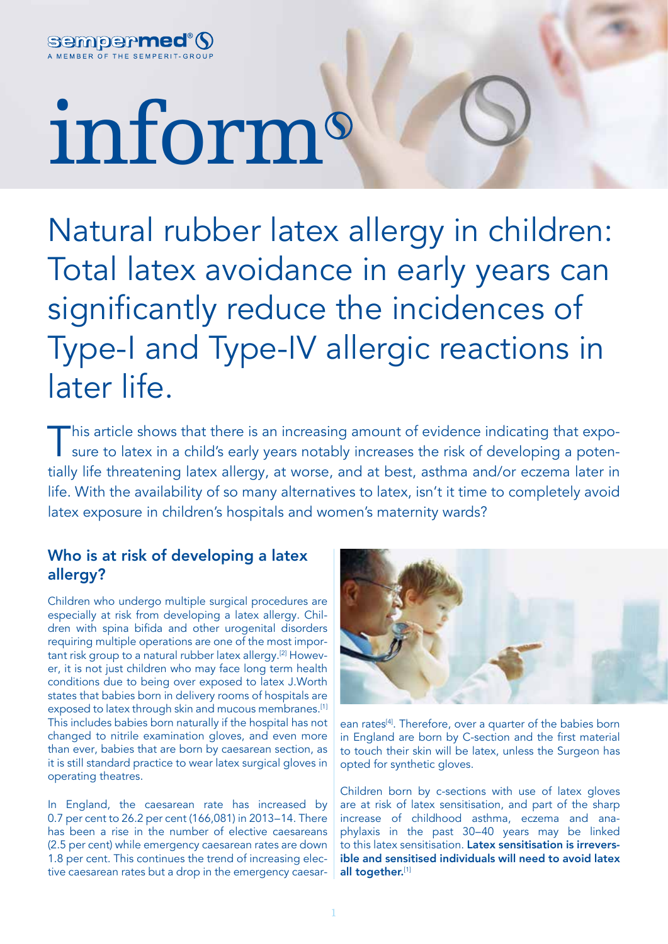

# inform

Natural rubber latex allergy in children: Total latex avoidance in early years can significantly reduce the incidences of Type-I and Type-IV allergic reactions in later life.

This article shows that there is an increasing amount of evidence indicating that exposure to latex in a child's early years notably increases the risk of developing a potentially life threatening latex allergy, at worse, and at best, asthma and/or eczema later in life. With the availability of so many alternatives to latex, isn't it time to completely avoid latex exposure in children's hospitals and women's maternity wards?

# Who is at risk of developing a latex allergy?

Children who undergo multiple surgical procedures are especially at risk from developing a latex allergy. Children with spina bifida and other urogenital disorders requiring multiple operations are one of the most important risk group to a natural rubber latex allergy.[2] However, it is not just children who may face long term health conditions due to being over exposed to latex J.Worth states that babies born in delivery rooms of hospitals are exposed to latex through skin and mucous membranes.<sup>[1]</sup> This includes babies born naturally if the hospital has not changed to nitrile examination gloves, and even more than ever, babies that are born by caesarean section, as it is still standard practice to wear latex surgical gloves in operating theatres.

In England, the caesarean rate has increased by 0.7 per cent to 26.2 per cent (166,081) in 2013–14. There has been a rise in the number of elective caesareans (2.5 per cent) while emergency caesarean rates are down 1.8 per cent. This continues the trend of increasing elective caesarean rates but a drop in the emergency caesar-



ean rates<sup>[4]</sup>. Therefore, over a quarter of the babies born in England are born by C-section and the first material to touch their skin will be latex, unless the Surgeon has opted for synthetic gloves.

Children born by c-sections with use of latex gloves are at risk of latex sensitisation, and part of the sharp increase of childhood asthma, eczema and anaphylaxis in the past 30–40 years may be linked to this latex sensitisation. Latex sensitisation is irreversible and sensitised individuals will need to avoid latex all together.[1]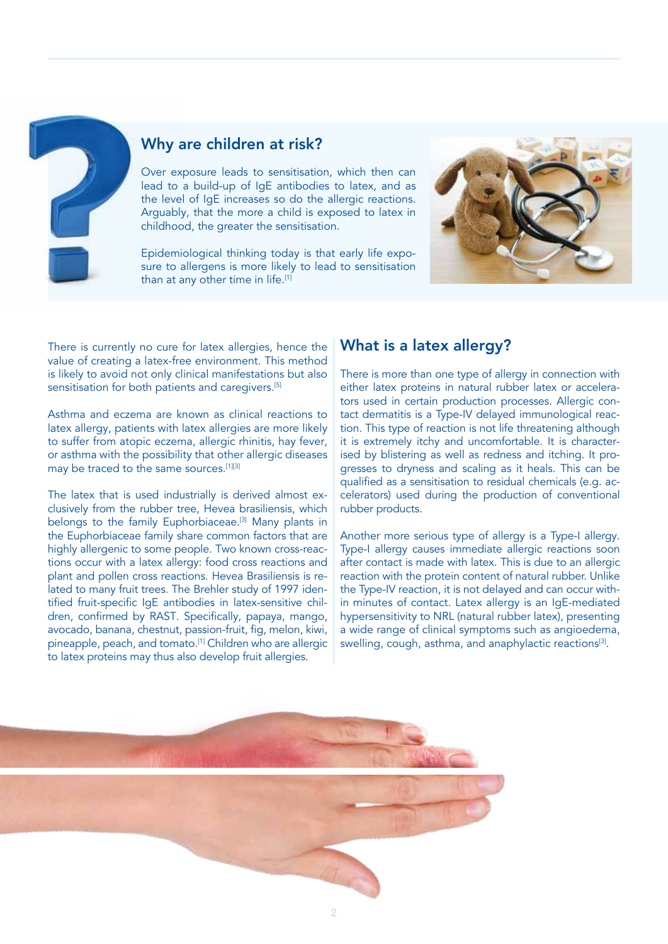

### Why are children at risk?

Over exposure leads to sensitisation, which then can lead to a build-up of IgE antibodies to latex, and as the level of IgE increases so do the allergic reactions. Arguably, that the more a child is exposed to latex in childhood, the greater the sensitisation.

Epidemiological thinking today is that early life exposure to allergens is more likely to lead to sensitisation than at any other time in life.<sup>[1]</sup>



There is currently no cure for latex allergies, hence the value of creating a latex-free environment. This method is likely to avoid not only clinical manifestations but also sensitisation for both patients and caregivers.[5]

Asthma and eczema are known as clinical reactions to latex allergy, patients with latex allergies are more likely to suffer from atopic eczema, allergic rhinitis, hay fever, or asthma with the possibility that other allergic diseases may be traced to the same sources.[1][3]

The latex that is used industrially is derived almost exclusively from the rubber tree, Hevea brasiliensis, which belongs to the family Euphorbiaceae.<sup>[3]</sup> Many plants in the Euphorbiaceae family share common factors that are highly allergenic to some people. Two known cross-reactions occur with a latex allergy: food cross reactions and plant and pollen cross reactions. Hevea Brasiliensis is related to many fruit trees. The Brehler study of 1997 identified fruit-specific IgE antibodies in latex-sensitive children, confirmed by RAST. Specifically, papaya, mango, avocado, banana, chestnut, passion-fruit, fig, melon, kiwi, pineapple, peach, and tomato.<sup>[1]</sup> Children who are allergic to latex proteins may thus also develop fruit allergies.

# What is a latex allergy?

There is more than one type of allergy in connection with either latex proteins in natural rubber latex or accelerators used in certain production processes. Allergic contact dermatitis is a Type-IV delayed immunological reaction. This type of reaction is not life threatening although it is extremely itchy and uncomfortable. It is characterised by blistering as well as redness and itching. It progresses to dryness and scaling as it heals. This can be qualified as a sensitisation to residual chemicals (e.g. accelerators) used during the production of conventional rubber products.

Another more serious type of allergy is a Type-I allergy. Type-I allergy causes immediate allergic reactions soon after contact is made with latex. This is due to an allergic reaction with the protein content of natural rubber. Unlike the Type-IV reaction, it is not delayed and can occur within minutes of contact. Latex allergy is an IgE-mediated hypersensitivity to NRL (natural rubber latex), presenting a wide range of clinical symptoms such as angioedema, swelling, cough, asthma, and anaphylactic reactions<sup>[3]</sup>.

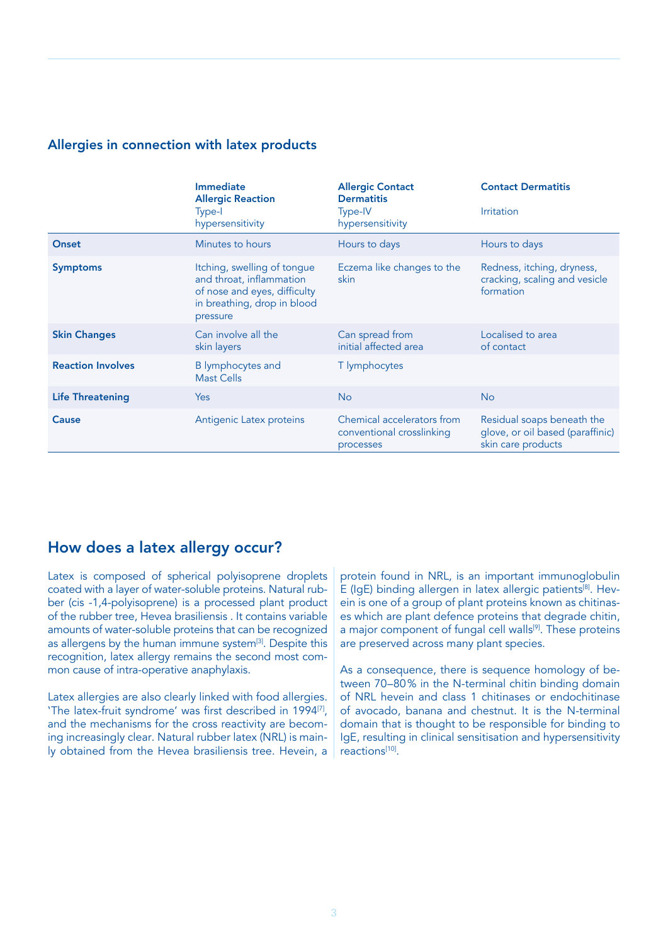#### Allergies in connection with latex products

|                          | <b>Immediate</b><br><b>Allergic Reaction</b><br>Type-I<br>hypersensitivity                                                         | <b>Allergic Contact</b><br><b>Dermatitis</b><br>Type-IV<br>hypersensitivity | <b>Contact Dermatitis</b><br><b>Irritation</b>                                       |
|--------------------------|------------------------------------------------------------------------------------------------------------------------------------|-----------------------------------------------------------------------------|--------------------------------------------------------------------------------------|
| Onset                    | Minutes to hours                                                                                                                   | Hours to days                                                               | Hours to days                                                                        |
| <b>Symptoms</b>          | Itching, swelling of tongue<br>and throat, inflammation<br>of nose and eyes, difficulty<br>in breathing, drop in blood<br>pressure | Eczema like changes to the<br>skin                                          | Redness, itching, dryness,<br>cracking, scaling and vesicle<br>formation             |
| <b>Skin Changes</b>      | Can involve all the<br>skin layers                                                                                                 | Can spread from<br>initial affected area                                    | Localised to area<br>of contact                                                      |
| <b>Reaction Involves</b> | <b>B</b> lymphocytes and<br><b>Mast Cells</b>                                                                                      | T lymphocytes                                                               |                                                                                      |
| <b>Life Threatening</b>  | <b>Yes</b>                                                                                                                         | <b>No</b>                                                                   | <b>No</b>                                                                            |
| Cause                    | Antigenic Latex proteins                                                                                                           | Chemical accelerators from<br>conventional crosslinking<br>processes        | Residual soaps beneath the<br>glove, or oil based (paraffinic)<br>skin care products |

# How does a latex allergy occur?

Latex is composed of spherical polyisoprene droplets coated with a layer of water-soluble proteins. Natural rubber (cis -1,4-polyisoprene) is a processed plant product of the rubber tree, Hevea brasiliensis . It contains variable amounts of water-soluble proteins that can be recognized as allergens by the human immune system<sup>[3]</sup>. Despite this recognition, latex allergy remains the second most common cause of intra-operative anaphylaxis.

Latex allergies are also clearly linked with food allergies. 'The latex-fruit syndrome' was first described in 1994<sup>[7]</sup>, and the mechanisms for the cross reactivity are becoming increasingly clear. Natural rubber latex (NRL) is mainly obtained from the Hevea brasiliensis tree. Hevein, a protein found in NRL, is an important immunoglobulin E (IgE) binding allergen in latex allergic patients<sup>[8]</sup>. Hevein is one of a group of plant proteins known as chitinases which are plant defence proteins that degrade chitin, a major component of fungal cell walls<sup>[9]</sup>. These proteins are preserved across many plant species.

As a consequence, there is sequence homology of between 70–80% in the N-terminal chitin binding domain of NRL hevein and class 1 chitinases or endochitinase of avocado, banana and chestnut. It is the N-terminal domain that is thought to be responsible for binding to IgE, resulting in clinical sensitisation and hypersensitivity reactions<sup>[10]</sup>.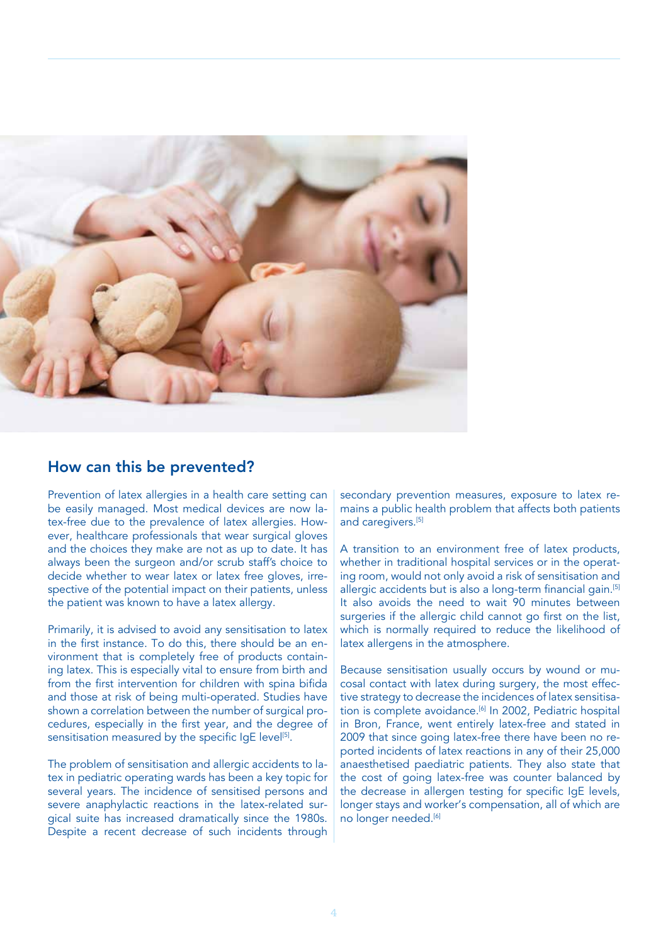

## How can this be prevented?

Prevention of latex allergies in a health care setting can be easily managed. Most medical devices are now latex-free due to the prevalence of latex allergies. However, healthcare professionals that wear surgical gloves and the choices they make are not as up to date. It has always been the surgeon and/or scrub staff's choice to decide whether to wear latex or latex free gloves, irrespective of the potential impact on their patients, unless the patient was known to have a latex allergy.

Primarily, it is advised to avoid any sensitisation to latex in the first instance. To do this, there should be an environment that is completely free of products containing latex. This is especially vital to ensure from birth and from the first intervention for children with spina bifida and those at risk of being multi-operated. Studies have shown a correlation between the number of surgical procedures, especially in the first year, and the degree of sensitisation measured by the specific IgE level<sup>[5]</sup>.

The problem of sensitisation and allergic accidents to latex in pediatric operating wards has been a key topic for several years. The incidence of sensitised persons and severe anaphylactic reactions in the latex-related surgical suite has increased dramatically since the 1980s. Despite a recent decrease of such incidents through

secondary prevention measures, exposure to latex remains a public health problem that affects both patients and caregivers.[5]

A transition to an environment free of latex products, whether in traditional hospital services or in the operating room, would not only avoid a risk of sensitisation and allergic accidents but is also a long-term financial gain.<sup>[5]</sup> It also avoids the need to wait 90 minutes between surgeries if the allergic child cannot go first on the list, which is normally required to reduce the likelihood of latex allergens in the atmosphere.

Because sensitisation usually occurs by wound or mucosal contact with latex during surgery, the most effective strategy to decrease the incidences of latex sensitisation is complete avoidance.<sup>[6]</sup> In 2002, Pediatric hospital in Bron, France, went entirely latex-free and stated in 2009 that since going latex-free there have been no reported incidents of latex reactions in any of their 25,000 anaesthetised paediatric patients. They also state that the cost of going latex-free was counter balanced by the decrease in allergen testing for specific IgE levels, longer stays and worker's compensation, all of which are no longer needed.<sup>[6]</sup>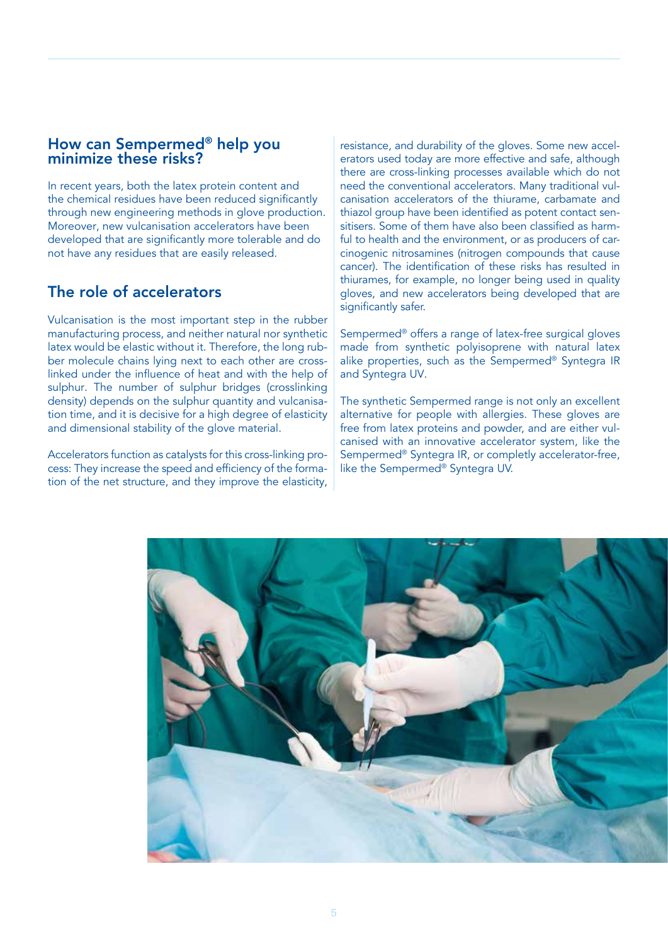# How can Sempermed® help you minimize these risks?

In recent years, both the latex protein content and the chemical residues have been reduced significantly through new engineering methods in glove production. Moreover, new vulcanisation accelerators have been developed that are significantly more tolerable and do not have any residues that are easily released.

# The role of accelerators

Vulcanisation is the most important step in the rubber manufacturing process, and neither natural nor synthetic latex would be elastic without it. Therefore, the long rubber molecule chains lying next to each other are crosslinked under the influence of heat and with the help of sulphur. The number of sulphur bridges (crosslinking density) depends on the sulphur quantity and vulcanisation time, and it is decisive for a high degree of elasticity and dimensional stability of the glove material.

Accelerators function as catalysts for this cross-linking process: They increase the speed and efficiency of the formation of the net structure, and they improve the elasticity,

resistance, and durability of the gloves. Some new accelerators used today are more effective and safe, although there are cross-linking processes available which do not need the conventional accelerators. Many traditional vulcanisation accelerators of the thiurame, carbamate and thiazol group have been identified as potent contact sensitisers. Some of them have also been classified as harmful to health and the environment, or as producers of carcinogenic nitrosamines (nitrogen compounds that cause cancer). The identification of these risks has resulted in thiurames, for example, no longer being used in quality gloves, and new accelerators being developed that are significantly safer.

Sempermed® offers a range of latex-free surgical gloves made from synthetic polyisoprene with natural latex alike properties, such as the Sempermed® Syntegra IR and Syntegra UV.

The synthetic Sempermed range is not only an excellent alternative for people with allergies. These gloves are free from latex proteins and powder, and are either vulcanised with an innovative accelerator system, like the Sempermed® Syntegra IR, or completly accelerator-free, like the Sempermed® Syntegra UV.

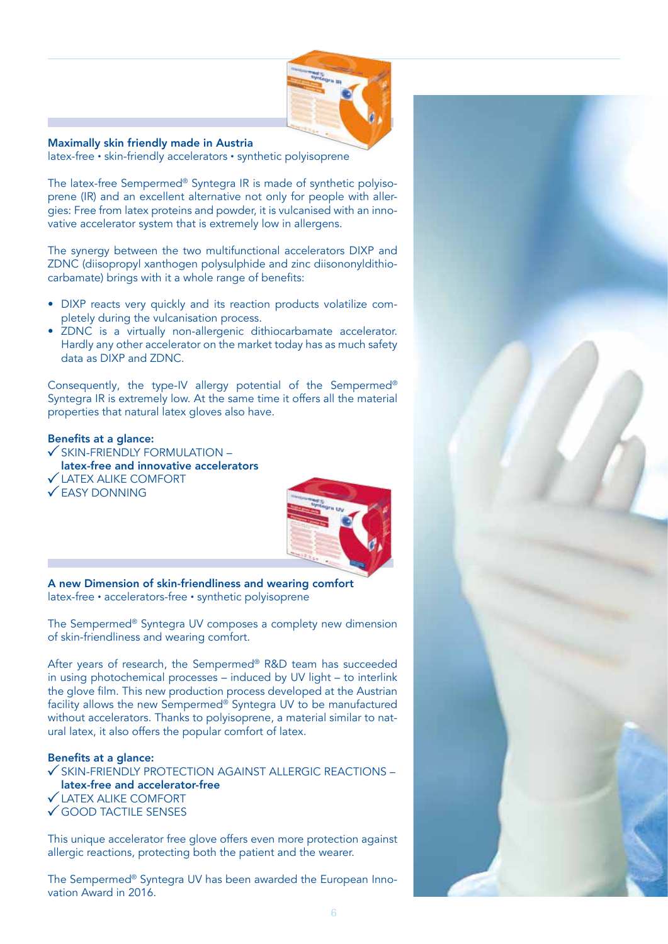

Maximally skin friendly made in Austria

latex-free • skin-friendly accelerators • synthetic polyisoprene

The latex-free Sempermed® Syntegra IR is made of synthetic polyisoprene (IR) and an excellent alternative not only for people with allergies: Free from latex proteins and powder, it is vulcanised with an innovative accelerator system that is extremely low in allergens.

The synergy between the two multifunctional accelerators DIXP and ZDNC (diisopropyl xanthogen polysulphide and zinc diisononyldithiocarbamate) brings with it a whole range of benefits:

- DIXP reacts very quickly and its reaction products volatilize completely during the vulcanisation process.
- ZDNC is a virtually non-allergenic dithiocarbamate accelerator. Hardly any other accelerator on the market today has as much safety data as DIXP and ZDNC.

Consequently, the type-IV allergy potential of the Sempermed® Syntegra IR is extremely low. At the same time it offers all the material properties that natural latex gloves also have.

#### Benefits at a glance:

- $\checkmark$  SKIN-FRIENDLY FORMULATION –
- latex-free and innovative accelerators LATEX ALIKE COMFORT
- 





A new Dimension of skin-friendliness and wearing comfort latex-free • accelerators-free • synthetic polyisoprene

The Sempermed® Syntegra UV composes a complety new dimension of skin-friendliness and wearing comfort.

After years of research, the Sempermed® R&D team has succeeded in using photochemical processes – induced by UV light – to interlink the glove film. This new production process developed at the Austrian facility allows the new Sempermed® Syntegra UV to be manufactured without accelerators. Thanks to polyisoprene, a material similar to natural latex, it also offers the popular comfort of latex.

#### Benefits at a glance:

- $\checkmark$  SKIN-FRIENDLY PROTECTION AGAINST ALLERGIC REACTIONS latex-free and accelerator-free
- LATEX ALIKE COMFORT
- GOOD TACTILE SENSES

This unique accelerator free glove offers even more protection against allergic reactions, protecting both the patient and the wearer.

The Sempermed® Syntegra UV has been awarded the European Innovation Award in 2016.

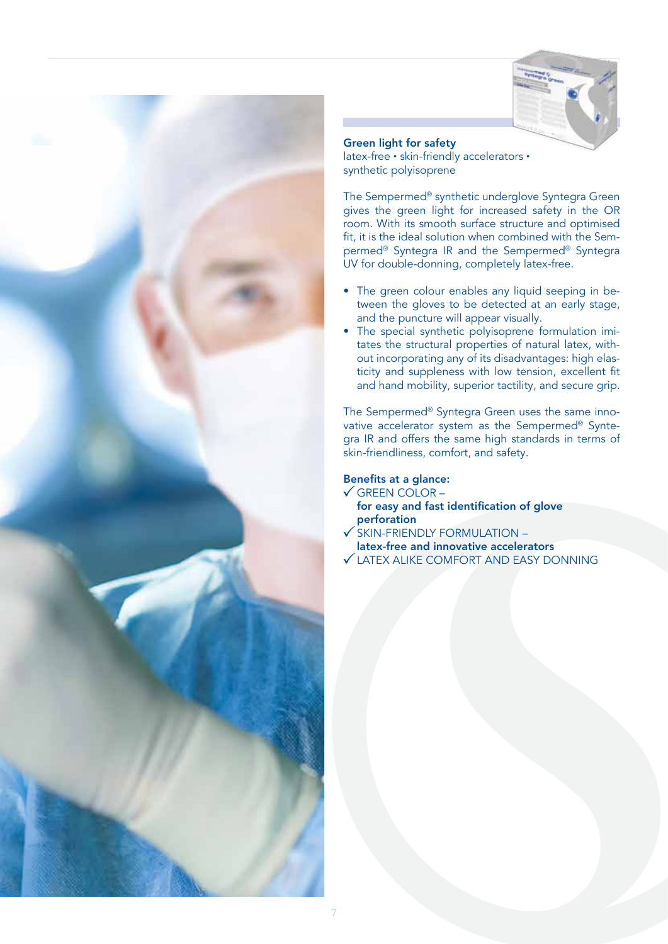



Green light for safety

latex-free • skin-friendly accelerators • synthetic polyisoprene

The Sempermed® synthetic underglove Syntegra Green gives the green light for increased safety in the OR room. With its smooth surface structure and optimised fit, it is the ideal solution when combined with the Sempermed® Syntegra IR and the Sempermed® Syntegra UV for double-donning, completely latex-free.

- The green colour enables any liquid seeping in between the gloves to be detected at an early stage, and the puncture will appear visually.
- The special synthetic polyisoprene formulation imitates the structural properties of natural latex, without incorporating any of its disadvantages: high elasticity and suppleness with low tension, excellent fit and hand mobility, superior tactility, and secure grip.

The Sempermed® Syntegra Green uses the same innovative accelerator system as the Sempermed® Syntegra IR and offers the same high standards in terms of skin-friendliness, comfort, and safety.

#### Benefits at a glance:

- $\checkmark$  GREEN COLOR
	- for easy and fast identification of glove perforation
- $\checkmark$  SKIN-FRIENDLY FORMULATION –
- latex-free and innovative accelerators
- LATEX ALIKE COMFORT AND EASY DONNING